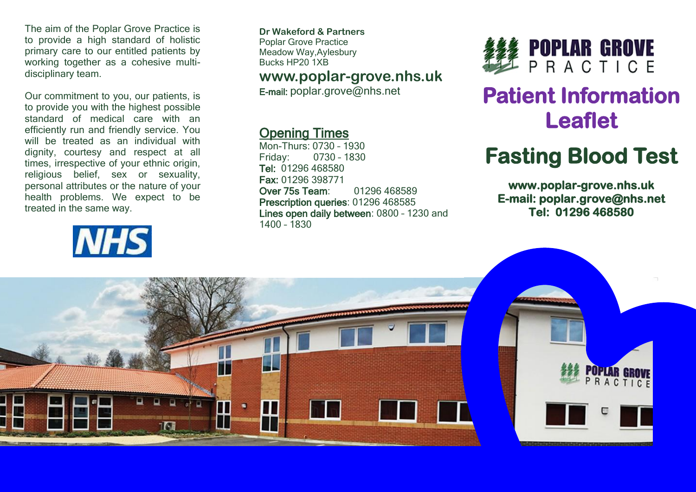The aim of the Poplar Grove Practice is to provide a high standard of holistic primary care to our entitled patients by working together as a cohesive multidisciplinary team.

Our commitment to you, our patients, is to provide you with the highest possible standard of medical care with an efficiently run and friendly service. You will be treated as an individual with dignity, courtesy and respect at all times, irrespective of your ethnic origin, religious belief, sex or sexuality, personal attributes or the nature of your health problems. We expect to be treated in the same way.

# **NHS**

**Dr Wakeford & Partners** Poplar Grove Practice Meadow Way,Aylesbury Bucks HP20 1XB

#### **www.poplar-grove.nhs.uk**

E-mail: [poplar.grove@nhs.net](mailto:poplar.grove@nhs.net)

#### Opening Times

Mon-Thurs: 0730 – 1930 Friday: 0730 – 1830 Tel: 01296 468580 Fax: 01296 398771 Over 75s Team: 01296 468589 Prescription queries: 01296 468585 Lines open daily between: 0800 – 1230 and 1400 – 1830



# **Patient Information Leaflet**

# **Fasting Blood Test**

**www.poplar-grove.nhs.uk E-mail: poplar.grove@nhs.net Tel: 01296 468580**